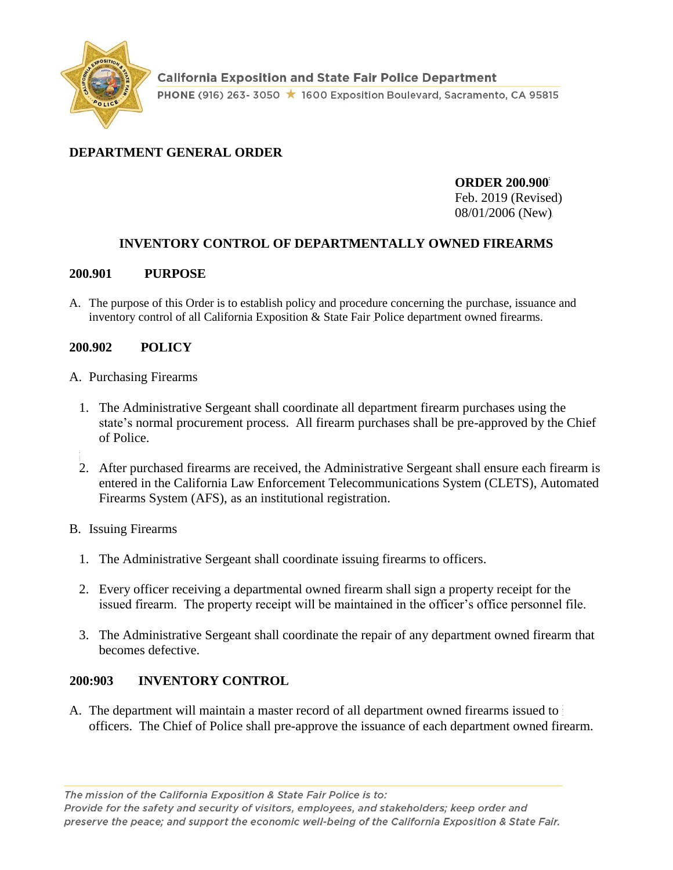

## **DEPARTMENT GENERAL ORDER**

**ORDER 200.900** Feb. 2019 (Revised) 08/01/2006 (New)

# **INVENTORY CONTROL OF DEPARTMENTALLY OWNED FIREARMS**

#### **200.901 PURPOSE**

A. The purpose of this Order is to establish policy and procedure concerning the purchase, issuance and inventory control of all California Exposition & State Fair Police department owned firearms.

### **200.902 POLICY**

- A. Purchasing Firearms
	- 1. The Administrative Sergeant shall coordinate all department firearm purchases using the state's normal procurement process. All firearm purchases shall be pre-approved by the Chief of Police.
	- 2. After purchased firearms are received, the Administrative Sergeant shall ensure each firearm is entered in the California Law Enforcement Telecommunications System (CLETS), Automated Firearms System (AFS), as an institutional registration.
- B. Issuing Firearms
	- 1. The Administrative Sergeant shall coordinate issuing firearms to officers.
	- 2. Every officer receiving a departmental owned firearm shall sign a property receipt for the issued firearm. The property receipt will be maintained in the officer's office personnel file.
	- 3. The Administrative Sergeant shall coordinate the repair of any department owned firearm that becomes defective.

### **200:903 INVENTORY CONTROL**

A. The department will maintain a master record of all department owned firearms issued to officers. The Chief of Police shall pre-approve the issuance of each department owned firearm.